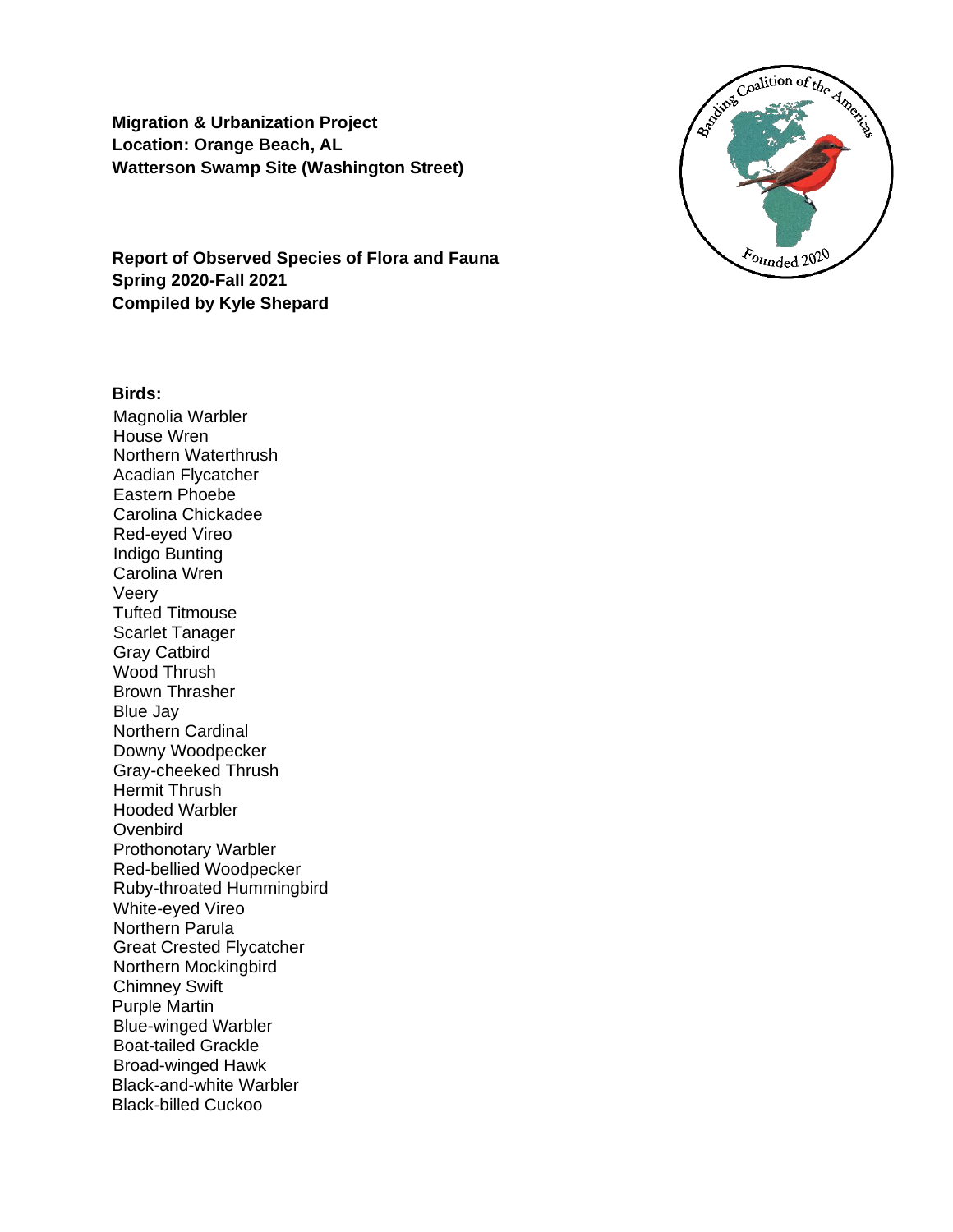**Migration & Urbanization Project Location: Orange Beach, AL Watterson Swamp Site (Washington Street)**



### **Birds:**

Magnolia Warbler House Wren Northern Waterthrush Acadian Flycatcher Eastern Phoebe Carolina Chickadee Red-eyed Vireo Indigo Bunting Carolina Wren Veery Tufted Titmouse Scarlet Tanager Gray Catbird Wood Thrush Brown Thrasher Blue Jay Northern Cardinal Downy Woodpecker Gray-cheeked Thrush Hermit Thrush Hooded Warbler **Ovenbird** Prothonotary Warbler Red-bellied Woodpecker Ruby-throated Hummingbird White-eyed Vireo Northern Parula Great Crested Flycatcher Northern Mockingbird Chimney Swift Purple Martin Blue-winged Warbler Boat-tailed Grackle Broad-winged Hawk Black-and-white Warbler Black-billed Cuckoo

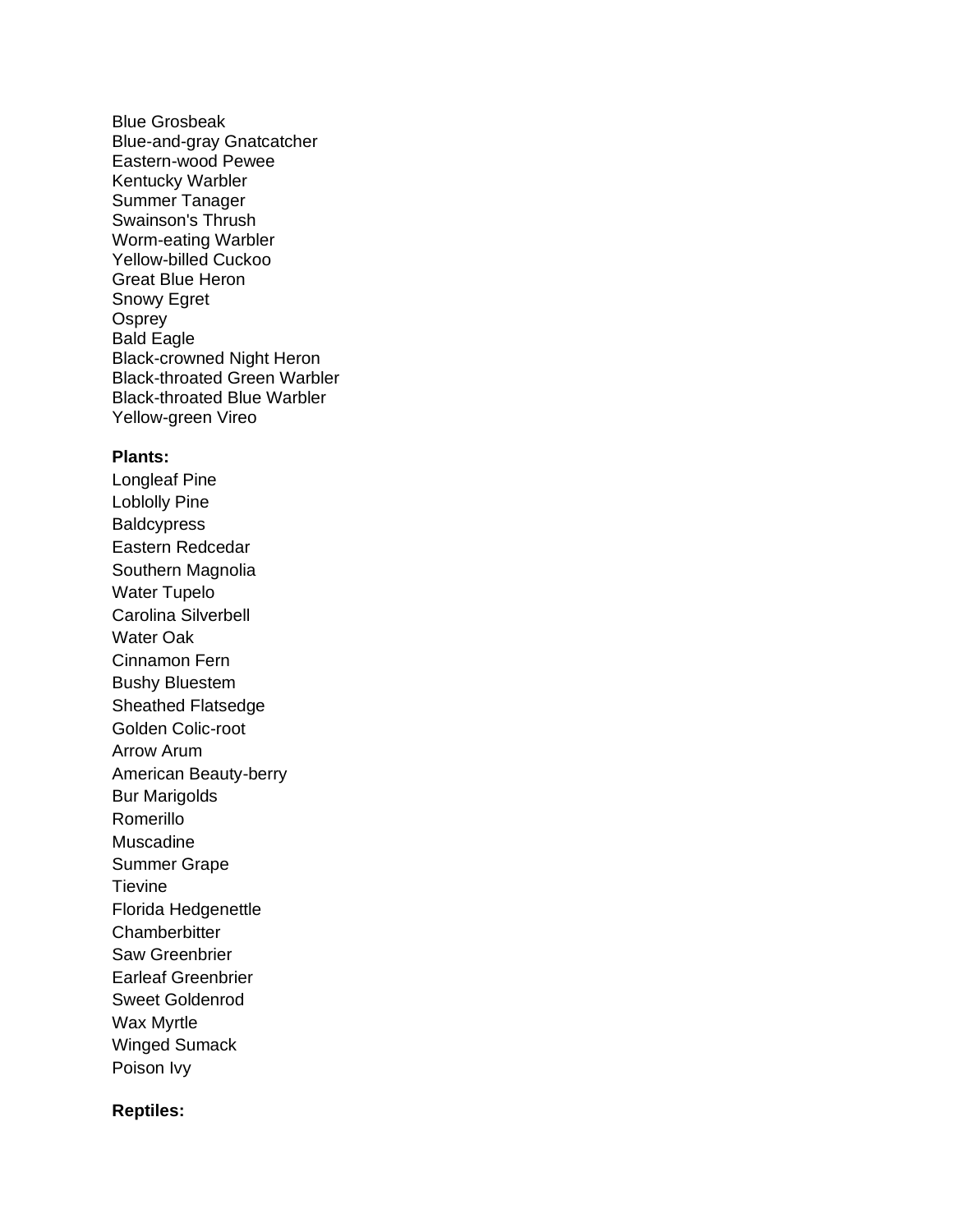Blue Grosbeak Blue-and-gray Gnatcatcher Eastern-wood Pewee Kentucky Warbler Summer Tanager Swainson's Thrush Worm-eating Warbler Yellow-billed Cuckoo Great Blue Heron Snowy Egret **Osprey** Bald Eagle Black-crowned Night Heron Black-throated Green Warbler Black-throated Blue Warbler Yellow-green Vireo

### **Plants:**

Longleaf Pine Loblolly Pine **Baldcypress** Eastern Redcedar Southern Magnolia Water Tupelo Carolina Silverbell Water Oak Cinnamon Fern Bushy Bluestem Sheathed Flatsedge Golden Colic-root Arrow Arum American Beauty-berry Bur Marigolds Romerillo Muscadine Summer Grape **Tievine** Florida Hedgenettle **Chamberbitter** Saw Greenbrier Earleaf Greenbrier Sweet Goldenrod Wax Myrtle Winged Sumack Poison Ivy

### **Reptiles:**